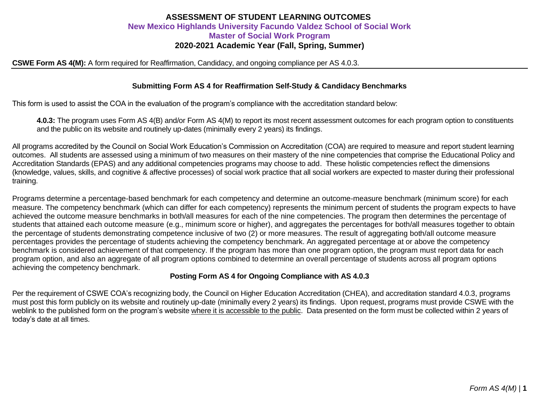# **ASSESSMENT OF STUDENT LEARNING OUTCOMES New Mexico Highlands University Facundo Valdez School of Social Work Master of Social Work Program 2020-2021 Academic Year (Fall, Spring, Summer)**

### **CSWE Form AS 4(M):** A form required for Reaffirmation, Candidacy, and ongoing compliance per AS 4.0.3.

## **Submitting Form AS 4 for Reaffirmation Self-Study & Candidacy Benchmarks**

This form is used to assist the COA in the evaluation of the program's compliance with the accreditation standard below:

**4.0.3:** The program uses Form AS 4(B) and/or Form AS 4(M) to report its most recent assessment outcomes for each program option to constituents and the public on its website and routinely up-dates (minimally every 2 years) its findings.

All programs accredited by the Council on Social Work Education's Commission on Accreditation (COA) are required to measure and report student learning outcomes. All students are assessed using a minimum of two measures on their mastery of the nine competencies that comprise the Educational Policy and Accreditation Standards (EPAS) and any additional competencies programs may choose to add. These holistic competencies reflect the dimensions (knowledge, values, skills, and cognitive & affective processes) of social work practice that all social workers are expected to master during their professional training.

Programs determine a percentage-based benchmark for each competency and determine an outcome-measure benchmark (minimum score) for each measure. The competency benchmark (which can differ for each competency) represents the minimum percent of students the program expects to have achieved the outcome measure benchmarks in both/all measures for each of the nine competencies. The program then determines the percentage of students that attained each outcome measure (e.g., minimum score or higher), and aggregates the percentages for both/all measures together to obtain the percentage of students demonstrating competence inclusive of two (2) or more measures. The result of aggregating both/all outcome measure percentages provides the percentage of students achieving the competency benchmark. An aggregated percentage at or above the competency benchmark is considered achievement of that competency. If the program has more than one program option, the program must report data for each program option, and also an aggregate of all program options combined to determine an overall percentage of students across all program options achieving the competency benchmark.

#### **Posting Form AS 4 for Ongoing Compliance with AS 4.0.3**

Per the requirement of CSWE COA's recognizing body, the Council on Higher Education Accreditation (CHEA), and accreditation standard 4.0.3, programs must post this form publicly on its website and routinely up-date (minimally every 2 years) its findings. Upon request, programs must provide CSWE with the weblink to the published form on the program's website where it is accessible to the public. Data presented on the form must be collected within 2 years of today's date at all times.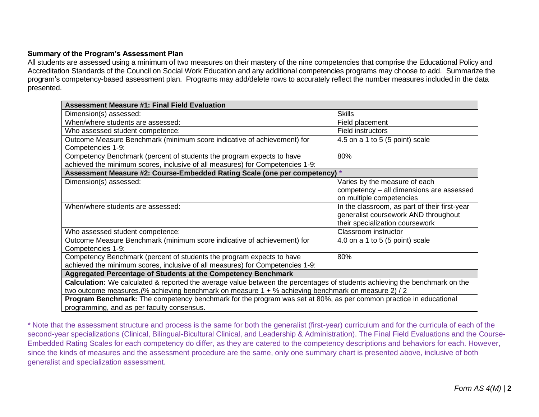## **Summary of the Program's Assessment Plan**

All students are assessed using a minimum of two measures on their mastery of the nine competencies that comprise the Educational Policy and Accreditation Standards of the Council on Social Work Education and any additional competencies programs may choose to add. Summarize the program's competency-based assessment plan. Programs may add/delete rows to accurately reflect the number measures included in the data presented.

| <b>Assessment Measure #1: Final Field Evaluation</b>                                                                       |                                                                                                                          |  |  |  |  |  |
|----------------------------------------------------------------------------------------------------------------------------|--------------------------------------------------------------------------------------------------------------------------|--|--|--|--|--|
| Dimension(s) assessed:                                                                                                     | <b>Skills</b>                                                                                                            |  |  |  |  |  |
| When/where students are assessed:                                                                                          | Field placement                                                                                                          |  |  |  |  |  |
| Who assessed student competence:                                                                                           | Field instructors                                                                                                        |  |  |  |  |  |
| Outcome Measure Benchmark (minimum score indicative of achievement) for<br>Competencies 1-9:                               | 4.5 on a 1 to 5 (5 point) scale                                                                                          |  |  |  |  |  |
| Competency Benchmark (percent of students the program expects to have                                                      | 80%                                                                                                                      |  |  |  |  |  |
| achieved the minimum scores, inclusive of all measures) for Competencies 1-9:                                              |                                                                                                                          |  |  |  |  |  |
| Assessment Measure #2: Course-Embedded Rating Scale (one per competency)<br>$\star$                                        |                                                                                                                          |  |  |  |  |  |
| Dimension(s) assessed:                                                                                                     | Varies by the measure of each                                                                                            |  |  |  |  |  |
|                                                                                                                            | competency - all dimensions are assessed                                                                                 |  |  |  |  |  |
|                                                                                                                            | on multiple competencies                                                                                                 |  |  |  |  |  |
| When/where students are assessed:                                                                                          | In the classroom, as part of their first-year<br>generalist coursework AND throughout<br>their specialization coursework |  |  |  |  |  |
| Who assessed student competence:                                                                                           | Classroom instructor                                                                                                     |  |  |  |  |  |
| Outcome Measure Benchmark (minimum score indicative of achievement) for<br>Competencies 1-9:                               | 4.0 on a 1 to 5 (5 point) scale                                                                                          |  |  |  |  |  |
| Competency Benchmark (percent of students the program expects to have                                                      | 80%                                                                                                                      |  |  |  |  |  |
| achieved the minimum scores, inclusive of all measures) for Competencies 1-9:                                              |                                                                                                                          |  |  |  |  |  |
| Aggregated Percentage of Students at the Competency Benchmark                                                              |                                                                                                                          |  |  |  |  |  |
| Calculation: We calculated & reported the average value between the percentages of students achieving the benchmark on the |                                                                                                                          |  |  |  |  |  |
| two outcome measures. (% achieving benchmark on measure 1 + % achieving benchmark on measure 2) / 2                        |                                                                                                                          |  |  |  |  |  |
| <b>Program Benchmark:</b> The competency benchmark for the program was set at 80%, as per common practice in educational   |                                                                                                                          |  |  |  |  |  |
| programming, and as per faculty consensus.                                                                                 |                                                                                                                          |  |  |  |  |  |

\* Note that the assessment structure and process is the same for both the generalist (first-year) curriculum and for the curricula of each of the second-year specializations (Clinical, Bilingual-Bicultural Clinical, and Leadership & Administration). The Final Field Evaluations and the Course-Embedded Rating Scales for each competency do differ, as they are catered to the competency descriptions and behaviors for each. However, since the kinds of measures and the assessment procedure are the same, only one summary chart is presented above, inclusive of both generalist and specialization assessment.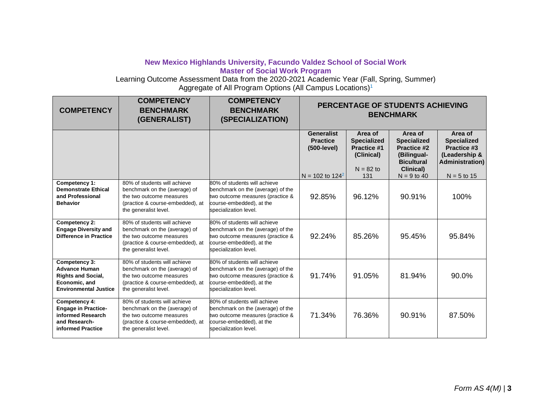## **New Mexico Highlands University, Facundo Valdez School of Social Work Master of Social Work Program**

Learning Outcome Assessment Data from the 2020-2021 Academic Year (Fall, Spring, Summer) Aggregate of All Program Options (All Campus Locations)<sup>1</sup>

| <b>COMPETENCY</b>                                                                                                   | <b>COMPETENCY</b><br><b>BENCHMARK</b><br>(GENERALIST)                                                                                                  | <b>COMPETENCY</b><br><b>BENCHMARK</b><br>(SPECIALIZATION)                                                                                                  | PERCENTAGE OF STUDENTS ACHIEVING<br><b>BENCHMARK</b>   |                                                                                  |                                                                                                      |                                                                                          |  |
|---------------------------------------------------------------------------------------------------------------------|--------------------------------------------------------------------------------------------------------------------------------------------------------|------------------------------------------------------------------------------------------------------------------------------------------------------------|--------------------------------------------------------|----------------------------------------------------------------------------------|------------------------------------------------------------------------------------------------------|------------------------------------------------------------------------------------------|--|
|                                                                                                                     |                                                                                                                                                        |                                                                                                                                                            | <b>Generalist</b><br><b>Practice</b><br>$(500$ -level) | Area of<br><b>Specialized</b><br><b>Practice #1</b><br>(Clinical)<br>$N = 82$ to | Area of<br><b>Specialized</b><br><b>Practice #2</b><br>(Bilingual-<br><b>Bicultural</b><br>Clinical) | Area of<br><b>Specialized</b><br>Practice #3<br>(Leadership &<br><b>Administration</b> ) |  |
| Competency 1:<br><b>Demonstrate Ethical</b><br>and Professional<br><b>Behavior</b>                                  | 80% of students will achieve<br>benchmark on the (average) of<br>the two outcome measures<br>(practice & course-embedded), at<br>the generalist level. | 80% of students will achieve<br>benchmark on the (average) of the<br>two outcome measures (practice &<br>course-embedded), at the<br>specialization level. | N = 102 to $124^2$<br>92.85%                           | 131<br>96.12%                                                                    | $N = 9$ to 40<br>90.91%                                                                              | $N = 5$ to 15<br>100%                                                                    |  |
| Competency 2:<br><b>Engage Diversity and</b><br><b>Difference in Practice</b>                                       | 80% of students will achieve<br>benchmark on the (average) of<br>the two outcome measures<br>(practice & course-embedded), at<br>the generalist level. | 80% of students will achieve<br>benchmark on the (average) of the<br>two outcome measures (practice &<br>course-embedded), at the<br>specialization level. | 92.24%                                                 | 85.26%                                                                           | 95.45%                                                                                               | 95.84%                                                                                   |  |
| Competency 3:<br><b>Advance Human</b><br><b>Rights and Social,</b><br>Economic, and<br><b>Environmental Justice</b> | 80% of students will achieve<br>benchmark on the (average) of<br>the two outcome measures<br>(practice & course-embedded), at<br>the generalist level. | 80% of students will achieve<br>benchmark on the (average) of the<br>two outcome measures (practice &<br>course-embedded), at the<br>specialization level. | 91.74%                                                 | 91.05%                                                                           | 81.94%                                                                                               | 90.0%                                                                                    |  |
| Competency 4:<br><b>Engage in Practice-</b><br>informed Research<br>and Research-<br>informed Practice              | 80% of students will achieve<br>benchmark on the (average) of<br>the two outcome measures<br>(practice & course-embedded), at<br>the generalist level. | 80% of students will achieve<br>benchmark on the (average) of the<br>two outcome measures (practice &<br>course-embedded), at the<br>specialization level. | 71.34%                                                 | 76.36%                                                                           | 90.91%                                                                                               | 87.50%                                                                                   |  |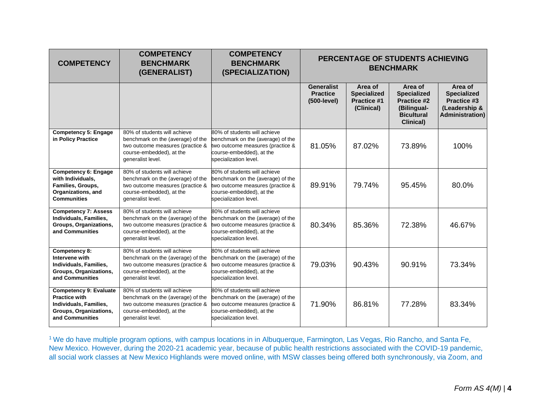| <b>COMPETENCY</b>                                                                                                            | <b>COMPETENCY</b><br><b>BENCHMARK</b><br>(GENERALIST)                                                                                                  | <b>COMPETENCY</b><br><b>BENCHMARK</b><br>(SPECIALIZATION)                                                                                                  | PERCENTAGE OF STUDENTS ACHIEVING<br><b>BENCHMARK</b> |                                                            |                                                                                                      |                                                                                          |
|------------------------------------------------------------------------------------------------------------------------------|--------------------------------------------------------------------------------------------------------------------------------------------------------|------------------------------------------------------------------------------------------------------------------------------------------------------------|------------------------------------------------------|------------------------------------------------------------|------------------------------------------------------------------------------------------------------|------------------------------------------------------------------------------------------|
|                                                                                                                              |                                                                                                                                                        |                                                                                                                                                            | <b>Generalist</b><br><b>Practice</b><br>(500-level)  | Area of<br><b>Specialized</b><br>Practice #1<br>(Clinical) | Area of<br><b>Specialized</b><br><b>Practice #2</b><br>(Bilingual-<br><b>Bicultural</b><br>Clinical) | Area of<br><b>Specialized</b><br>Practice #3<br>(Leadership &<br><b>Administration</b> ) |
| <b>Competency 5: Engage</b><br>in Policy Practice                                                                            | 80% of students will achieve<br>benchmark on the (average) of the<br>two outcome measures (practice &<br>course-embedded), at the<br>generalist level. | 80% of students will achieve<br>benchmark on the (average) of the<br>two outcome measures (practice &<br>course-embedded), at the<br>specialization level. | 81.05%                                               | 87.02%                                                     | 73.89%                                                                                               | 100%                                                                                     |
| <b>Competency 6: Engage</b><br>with Individuals.<br>Families, Groups,<br>Organizations, and<br><b>Communities</b>            | 80% of students will achieve<br>benchmark on the (average) of the<br>two outcome measures (practice &<br>course-embedded), at the<br>generalist level. | 80% of students will achieve<br>benchmark on the (average) of the<br>two outcome measures (practice &<br>course-embedded), at the<br>specialization level. | 89.91%                                               | 79.74%                                                     | 95.45%                                                                                               | 80.0%                                                                                    |
| <b>Competency 7: Assess</b><br>Individuals, Families,<br>Groups, Organizations,<br>and Communities                           | 80% of students will achieve<br>benchmark on the (average) of the<br>two outcome measures (practice &<br>course-embedded), at the<br>generalist level. | 80% of students will achieve<br>benchmark on the (average) of the<br>two outcome measures (practice &<br>course-embedded), at the<br>specialization level. | 80.34%                                               | 85.36%                                                     | 72.38%                                                                                               | 46.67%                                                                                   |
| Competency 8:<br>Intervene with<br>Individuals, Families,<br>Groups, Organizations,<br>and Communities                       | 80% of students will achieve<br>benchmark on the (average) of the<br>two outcome measures (practice &<br>course-embedded), at the<br>generalist level. | 80% of students will achieve<br>benchmark on the (average) of the<br>two outcome measures (practice &<br>course-embedded), at the<br>specialization level. | 79.03%                                               | 90.43%                                                     | 90.91%                                                                                               | 73.34%                                                                                   |
| <b>Competency 9: Evaluate</b><br><b>Practice with</b><br>Individuals, Families,<br>Groups, Organizations,<br>and Communities | 80% of students will achieve<br>benchmark on the (average) of the<br>two outcome measures (practice &<br>course-embedded), at the<br>generalist level. | 80% of students will achieve<br>benchmark on the (average) of the<br>two outcome measures (practice &<br>course-embedded), at the<br>specialization level. | 71.90%                                               | 86.81%                                                     | 77.28%                                                                                               | 83.34%                                                                                   |

<sup>1</sup>We do have multiple program options, with campus locations in in Albuquerque, Farmington, Las Vegas, Rio Rancho, and Santa Fe, New Mexico. However, during the 2020-21 academic year, because of public health restrictions associated with the COVID-19 pandemic, all social work classes at New Mexico Highlands were moved online, with MSW classes being offered both synchronously, via Zoom, and